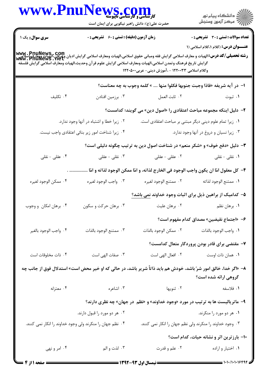|                                                                                                                                                                                                     | WWW.PnuNews.com<br>حضرت علی(ع): دانش راهبر نیکویی برای ایمان است                                                                                         |                                                                                | ر<br>دانشڪاه پيام نور)<br>اڳ مرڪز آزمون وسنڊش                                        |  |
|-----------------------------------------------------------------------------------------------------------------------------------------------------------------------------------------------------|----------------------------------------------------------------------------------------------------------------------------------------------------------|--------------------------------------------------------------------------------|--------------------------------------------------------------------------------------|--|
| <b>سری سوال :</b> یک ۱<br>  WWW . PnuNews , COM<br>  <b>رشته تحصیلی/کد درس:</b> الهیات و معارف اسلامی گرایش فقه ومبانی حقوق اسلامی،الهیات ومعارف اسلامی گرایش دیگرایی باشد<br>  Www . PnuNews . Net | زمان آزمون (دقیقه) : تستی : ۶۰٪ تشریحی : ۰<br>گرايش تاريخ فرهنگ وتمدن اسلامى،الهيات ومعارف اسلامى گرايش علوم قرآن وحديث،الهيات ومعارف اسلامى گرايش فلسفه | وكلام اسلامي ١٢٢٠٠٣٣ - ،آموزش ديني- عربي١٢٢٠٥٠٠                                | <b>تعداد سوالات : تستی : 30 ٪ تشریحی : 0</b><br>عنـــوان درس: (کلام ۱،کلام اسلامی (۱ |  |
|                                                                                                                                                                                                     |                                                                                                                                                          | ا–  در آيه شريفه «فاذا وجبت جنوبها فكلوا منها  » كلمه وجوب به چه معناست؟       |                                                                                      |  |
| ۰۴ تکلیف                                                                                                                                                                                            | ۰۳ برزمين افتادن                                                                                                                                         | ٠٢ ثابت العمل                                                                  | ۰۱ ثبوت                                                                              |  |
|                                                                                                                                                                                                     |                                                                                                                                                          | ۲–  دلیل اینکه مجموعه مباحث اعتقادی را «اصول دین» می گویند؛ کدامست؟            |                                                                                      |  |
| ۰۲ زیرا خطا و اشتباه در آنها وجود ندارد.<br>۰۱ زیرا تمام علوم دینی دیگر مبتنی بر مباحث اعتقادی است.                                                                                                 |                                                                                                                                                          |                                                                                |                                                                                      |  |
|                                                                                                                                                                                                     | ۰۴ زیرا شناخت امور زیر بنائی اعتقادی واجب نیست.                                                                                                          |                                                                                | ۰۳ زیرا نسیان و دروغ در آنها وجود ندارد.                                             |  |
|                                                                                                                                                                                                     |                                                                                                                                                          | ۳- دلیل «دفع خوف» و «شکر منعم» در شناخت اصول دین به ترتیب چگونه دلیلی است؟     |                                                                                      |  |
| ۰۴ عقلی - نقلی                                                                                                                                                                                      | ۰۳ نقلی - عقلی                                                                                                                                           | ۰۲ عقلی - عقلی                                                                 | ۰۱ نقلی - نقلی                                                                       |  |
|                                                                                                                                                                                                     | ۴–  كل معقول امّا ان يكون واجب الوجود في الخارج لذاته، و امّا ممكن الوجود لذاته و امّا                                                                   |                                                                                |                                                                                      |  |
| ۰۴ ممكن الوجود لغيره                                                                                                                                                                                | ۰۳ واجب الوجود لغيره                                                                                                                                     | ٠٢ ممتنع الوجود لغيره                                                          | ٠١. ممتنع الوجود لذاته                                                               |  |
|                                                                                                                                                                                                     |                                                                                                                                                          | ۵– کدامیک از براهین ذیل برای اثبات وجود خداوند <u>نمی</u> باشد؟                |                                                                                      |  |
| ۰۴ برهان امکان و وجوب                                                                                                                                                                               | ۰۳ برهان حرکت و سکون                                                                                                                                     | ۰۲ برهان عليت                                                                  | ۰۱ برهان نظم                                                                         |  |
|                                                                                                                                                                                                     |                                                                                                                                                          |                                                                                | ۶– «اجتماع نقیضین» مصداق کدام مفهوم است؟                                             |  |
| ۰۴ واجب الوجود بالغير                                                                                                                                                                               | ٠٣ ممتنع الوجود بالذات                                                                                                                                   | ٠٢ ممكن الوجود بالذات                                                          | ٠١. واجب الوجود بالذات                                                               |  |
|                                                                                                                                                                                                     |                                                                                                                                                          |                                                                                | ۷– مقتضی برای قادر بودن پروردگار متعال کدامست؟                                       |  |
| ۰۴ ذات مخلوقات است                                                                                                                                                                                  | ۰۳ صفات الهی است                                                                                                                                         |                                                                                | ٠١ همان ذات اوست مسمع ٢٠ افعال الهي است                                              |  |
| ۸− «اگر خدا، خالق امور شرّ باشد، خودش هم باید ذاتاً شریر باشد، در حالی که او خیر محض است» استدلال فوق از جانب چه<br>گروهی ارائه شده است؟                                                            |                                                                                                                                                          |                                                                                |                                                                                      |  |
| ۰۴ معتزله                                                                                                                                                                                           | ۰۳ اشاعره                                                                                                                                                | ۰۲ ثنویها                                                                      | ١. فلاسفه                                                                            |  |
|                                                                                                                                                                                                     |                                                                                                                                                          | ۹- ماتریالیست ها به ترتیب در مورد «وجود خداوند» و «نظم در جهان» چه نظری دارند؟ |                                                                                      |  |
|                                                                                                                                                                                                     | ۰۲ هر دو مورد را قبول دارند.                                                                                                                             |                                                                                | ۰۱ هر دو مورد را منکرند.                                                             |  |
|                                                                                                                                                                                                     | ۰۴ نظم جهان را منکرند ولی وجود خداوند را انکار نمی کنند.                                                                                                 |                                                                                | ۰۳ وجود خداوند را منکرند ولی نظم جهان را انکار نمی کنند.                             |  |
|                                                                                                                                                                                                     |                                                                                                                                                          |                                                                                | 10- بارزترین اثر و نشانه حیات، کدام است؟                                             |  |
| ۰۴ امر و نهی                                                                                                                                                                                        | ۰۳ لذت و الم                                                                                                                                             | ۰۲ علم و قدرت                                                                  | ۰۱ اختیار و اراده                                                                    |  |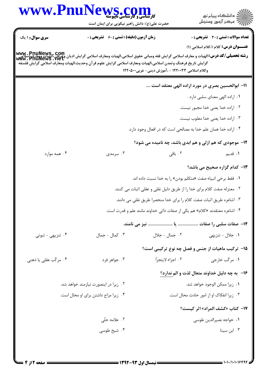|                                      | WWW.PnuNews.com<br>حضرت علی(ع): دانش راهبر نیکویی برای ایمان است     |                                                                                                                                                                                                                                                                                                                                                                                                                | ر<br>ران دانشگاه پيام نور<br>ران مرکز آزمون وسنڊش |
|--------------------------------------|----------------------------------------------------------------------|----------------------------------------------------------------------------------------------------------------------------------------------------------------------------------------------------------------------------------------------------------------------------------------------------------------------------------------------------------------------------------------------------------------|---------------------------------------------------|
| <b>سری سوال : ۱ یک</b>               | <b>زمان آزمون (دقیقه) : تستی : 60 ٪ تشریحی : 0</b>                   |                                                                                                                                                                                                                                                                                                                                                                                                                | <b>تعداد سوالات : تستی : 30 ٪ تشریحی : 0</b>      |
|                                      |                                                                      | <b>رشته تحصیلی/کد درس:</b> الهیات و معارف اسلامی گرایش فقه ومبانی حقوق اسلامی،الهیات ومعارف اسلامی گرایش ادیان واین می<br>ر <b>شته تحصیلی/کد درس:</b> الهیات و معارف اسلامی گرایش فقه ومبانی حقوق اسلامی،الهیات ومعارف اسلامی گرایش ادیان و W<br>گرايش تاريخ فرهنگ وتمدن اسلامي،الهيات ومعارف اسلامي گرايش علوم قرآن وحديث،الهيات ومعارف اسلامي گرايش فلسفه<br>وكلام اسلامي ١٢٢٠٠٣٣ - ،آموزش ديني- عربي١٢٢٠٥٠٠ | <b>عنـــوان درس:</b> کلام ۱،کلام اسلامی (۱)       |
|                                      |                                                                      |                                                                                                                                                                                                                                                                                                                                                                                                                | 11– ابوالحسین بصری در مورد اراده الهی معتقد است   |
|                                      |                                                                      |                                                                                                                                                                                                                                                                                                                                                                                                                | ۰۱ اراده الهی معنای سلبی دارد .                   |
|                                      |                                                                      |                                                                                                                                                                                                                                                                                                                                                                                                                | ٠٢ اراده خدا يعني خدا مجبور نيست.                 |
|                                      |                                                                      |                                                                                                                                                                                                                                                                                                                                                                                                                | ۰۳ اراده خدا یعنی خدا مغلوب نیست.                 |
|                                      |                                                                      | ۰۴ اراده خدا همان علم خدا به مصالحی است که در افعال وجود دارد.                                                                                                                                                                                                                                                                                                                                                 |                                                   |
|                                      |                                                                      | ۱۲- موجودی که هم ازلی و هم ابدی باشد، چه نامیده می شود؟                                                                                                                                                                                                                                                                                                                                                        |                                                   |
| ۰۴ همه موارد                         | ۰۳ سرمدی                                                             | ۰۲ باقی                                                                                                                                                                                                                                                                                                                                                                                                        | ۰۱ قديم                                           |
|                                      |                                                                      |                                                                                                                                                                                                                                                                                                                                                                                                                | ۱۳- کدام گزاره صحیح می باشد؟                      |
|                                      |                                                                      | ۰۱ فقط برخی انبیاء صفت «متکلم بودن» را به خدا نسبت داده اند.                                                                                                                                                                                                                                                                                                                                                   |                                                   |
|                                      |                                                                      | ۰۲ معتزله صفت کلام برای خدا را از طریق دلیل نقلی و عقلی اثبات می کنند.                                                                                                                                                                                                                                                                                                                                         |                                                   |
|                                      | ۰۳ اشاعره طریق اثبات صفت کلام را برای خدا منحصرا طریق نقلی می دانند. |                                                                                                                                                                                                                                                                                                                                                                                                                |                                                   |
|                                      |                                                                      | ۰۴ اشاعره معتقدند «کلام» هم یکی از صفات ذاتی خداوند مانند علم و قدرت است.                                                                                                                                                                                                                                                                                                                                      |                                                   |
|                                      |                                                                      |                                                                                                                                                                                                                                                                                                                                                                                                                |                                                   |
| ۰۴ تنزیهی - ثبوتی                    | ۰۳ کمال - جمال                                                       | ٢. جمال - جلال                                                                                                                                                                                                                                                                                                                                                                                                 | ۰۱ جلال - تنزیهی                                  |
|                                      |                                                                      | ۰۱۵ ترکیب ماهیات از جنس و فصل چه نوع ترکیبی است؟                                                                                                                                                                                                                                                                                                                                                               |                                                   |
| ۰۴ مرکّب عقلی یا ذهنی                | ۰۳ جواهر فرد                                                         | ۰۲ اجزاء لايتجزّا                                                                                                                                                                                                                                                                                                                                                                                              | ۰۱ مرکّب خارجی                                    |
|                                      |                                                                      |                                                                                                                                                                                                                                                                                                                                                                                                                | ۱۶- به چه دلیل خداوند متعال لذت و الم ندارد؟      |
|                                      | ۰۲ زیرا در اینصورت نیازمند خواهد شد.                                 |                                                                                                                                                                                                                                                                                                                                                                                                                | ٠١. زيرا ممكن الوجود خواهد شد.                    |
| ۰۴ زیرا مزاج داشتن برای او محال است. |                                                                      |                                                                                                                                                                                                                                                                                                                                                                                                                | ٠٣ زيرا انفكاك او از امور حادث محال است.          |
|                                      |                                                                      |                                                                                                                                                                                                                                                                                                                                                                                                                | 17- كتاب «كشف المراد» اثر كيست؟                   |
|                                      | ۰۲ علامه حلّی                                                        |                                                                                                                                                                                                                                                                                                                                                                                                                | ٠١. خواجه نصيرالدين طوسي                          |
|                                      | ۰۴ شيخ طوسي                                                          |                                                                                                                                                                                                                                                                                                                                                                                                                | ۰۳ ابن سینا                                       |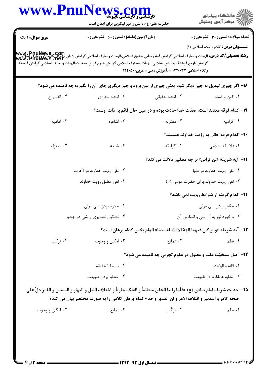|                              | حضرت علی(ع): دانش راهبر نیکویی برای ایمان است                                                                                                                                                                                                                                                          |                                                                                                     | ِ<br>∭ دانشڪاه پيام نور<br>∭ مرڪز آزمون وسنڊش         |  |
|------------------------------|--------------------------------------------------------------------------------------------------------------------------------------------------------------------------------------------------------------------------------------------------------------------------------------------------------|-----------------------------------------------------------------------------------------------------|-------------------------------------------------------|--|
| <b>سری سوال : ۱ یک</b>       | <b>زمان آزمون (دقیقه) : تستی : 60 ٪ تشریحی : 0</b>                                                                                                                                                                                                                                                     |                                                                                                     | <b>تعداد سوالات : تستی : 30 ٪ تشریحی : 0</b>          |  |
|                              | <b>www . PnuNews , com</b><br><b>رشته تحصیلی/کد درس:</b> الهیات و معارف اسلامی گرایش فقه ومبانی حقوق اسلامی،الهیات ومعارف اسلامی گرایش ادیان وعرفان،الهیات وهغارف<br>Www . PnuNewS . net<br>گرايش تاريخ فرهنگ وتمدن اسلامي،الهيات ومعارف اسلامي گرايش علوم قرآن وحديث،الهيات ومعارف اسلامي گرايش فلسفه | وكلام اسلامي ١٢٢٠٠٣٣ - ،آموزش ديني- عربي١٢٢٠٥٠٠                                                     | <b>عنــــوان درس:</b> کلام ۱،کلام اسلامی (۱)          |  |
|                              | 18- اگر چیزی تبدیل به چیز دیگر شود یعنی چیزی از بین برود و چیز دیگری جای آن را بگیرد؛ چه نامیده می شود؟                                                                                                                                                                                                |                                                                                                     |                                                       |  |
| ۰۴ الف و ج                   | ۰۳ اتحاد مجازی                                                                                                                                                                                                                                                                                         | ۰۲ اتحاد حقیقی                                                                                      | ۰۱ کون و فساد                                         |  |
|                              |                                                                                                                                                                                                                                                                                                        | ۱۹- کدام فرقه معتقد است؛ صفات خدا حادث بوده و در عین حال قائم به ذات اوست؟                          |                                                       |  |
| ۰۴ امامیه                    | ۰۳ اشاعره                                                                                                                                                                                                                                                                                              | ۰۲ معتزله                                                                                           | ۰۱ کرامیه                                             |  |
|                              |                                                                                                                                                                                                                                                                                                        | <b>۰۲</b> - کدام فرقه قائل به رؤیت خداوند هستند؟                                                    |                                                       |  |
| ۰۴ معتزله                    | ۰۳ شیعه                                                                                                                                                                                                                                                                                                | ۰۲ کرامیّه                                                                                          | <b>۱.</b> فلاسفه اسلامی                               |  |
|                              |                                                                                                                                                                                                                                                                                                        |                                                                                                     | 21- آیه شریفه «لن ترانی» بر چه مطلبی دلالت می کند؟    |  |
| ۰۲ نفی رویت خداوند در آخرت   |                                                                                                                                                                                                                                                                                                        | ۰۱ نفی رویت خداوند در دنیا                                                                          |                                                       |  |
| ۰۴ نفی مطلق رویت خداوند      |                                                                                                                                                                                                                                                                                                        |                                                                                                     | ۰۳ نفی رویت خداوند برای حضرت موسی (ع)                 |  |
|                              |                                                                                                                                                                                                                                                                                                        |                                                                                                     | <b>۲۲- کدام گزینه از شرایط رویت <u>نمی</u> باشد</b> ؟ |  |
| ۰۲ مجرد بودن شی مرئی         |                                                                                                                                                                                                                                                                                                        | ۰۱ مقابل بودن شي مرئي                                                                               |                                                       |  |
| ۰۴ تشکیل تصویری از شی در چشم |                                                                                                                                                                                                                                                                                                        | ۰۳ برخورد نور به آن شي و انعكاس آن                                                                  |                                                       |  |
|                              |                                                                                                                                                                                                                                                                                                        | 7٣- آيه شريفه «و لو كان فيهما الهه ًالا الله لفسدتا» الهام بخش كدام برهان است؟                      |                                                       |  |
| ۰۴ ترکّب                     | ۰۳ امکان و وجوب                                                                                                                                                                                                                                                                                        | ۰۲ تمانع                                                                                            | ۰۱ نظم                                                |  |
|                              |                                                                                                                                                                                                                                                                                                        | <b>34- اصل سنخیّت علت و معلول در علوم تجربی چه نامیده می شود؟</b>                                   |                                                       |  |
| ٠٢ بسيط الحقيقه              |                                                                                                                                                                                                                                                                                                        | ٠١. قاعده الواحد                                                                                    |                                                       |  |
|                              | ۰۴ منظم بودن طبیعت                                                                                                                                                                                                                                                                                     | ۰۳ تشابه عملکرد در طبیعت                                                                            |                                                       |  |
|                              | 35- حديث شريف امام صادق (ع) «فلَّما راينا الخلق منتظماً و الفلك جارياً و اختلاف الليل و النهار و الشمس و القمر دلّ على                                                                                                                                                                                 | صحه الامر و التدبير و ائتلاف الامر و ان المدبر واحد» كدام برهان كلامي را به صورت مختصر بيان مي كند؟ |                                                       |  |
|                              |                                                                                                                                                                                                                                                                                                        |                                                                                                     |                                                       |  |